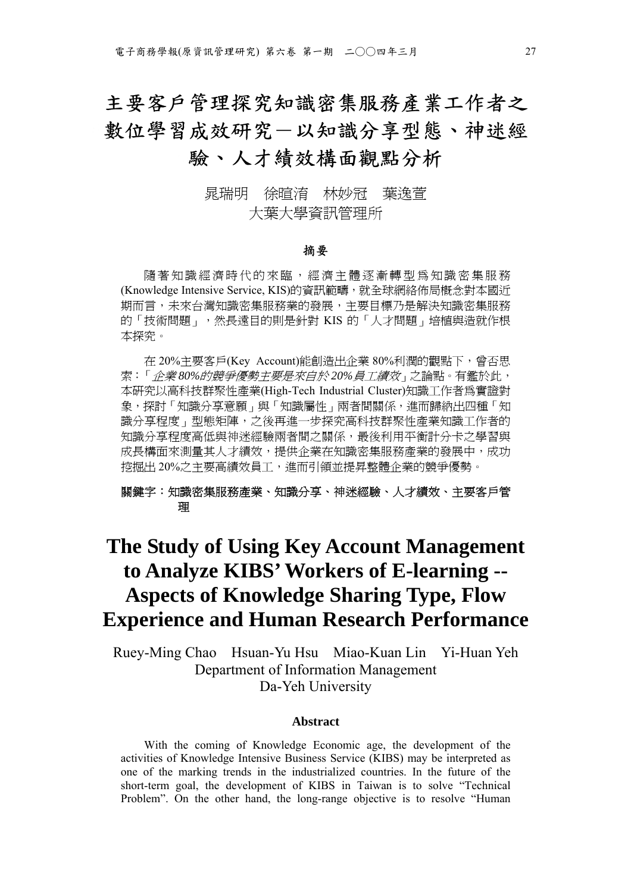# 主要客戶管理探究知識密集服務產業工作者之 數位學習成效研究一以知識分享型態、神迷經 驗、人才績效構面觀點分析

## 晁瑞明 徐暄淯 林妙冠 葉逸萱 大葉大學資訊管理所

#### 摘要

隨著知識經濟時代的來臨,經濟主體逐漸轉型為知識密集服務 (Knowledge Intensive Service, KIS)的資訊範疇,就全球網絡佈局概念對本國近 期而言,未來台灣知識密集服務業的發展,主要目標乃是解決知識密集服務 的「技術問題」,然長遠目的則是針對 KIS 的「人才問題」培植與造就作根 本探究。

在 20%主要客戶(Key Account)能創造出企業 80%利潤的觀點下,曾否思 索:「企業 *80%*的競爭優勢主要是來自於 *20%*員工績效」之論點。有鑑於此, 本研究以高科技群聚性產業(High-Tech Industrial Cluster)知識工作者為實證對 象,探討「知識分享意願」與「知識屬性」兩者間關係,進而歸納出四種「知 識分享程度、型態矩陣,之後再進一步探究高科技群聚性產業知識工作者的 知識分享程度高低與神迷經驗兩者間之關係,最後利用平衡計分卡之學習與 成長構面來測量其人才績效,提供企業在知識密集服務產業的發展中,成功 挖掘出 20%之主要高績效員工,進而引領並提昇整體企業的競爭優勢。

#### 關鍵字:知識密集服務產業、知識分享、神迷經驗、人才績效、主要客戶管 理

# **The Study of Using Key Account Management to Analyze KIBS' Workers of E-learning -- Aspects of Knowledge Sharing Type, Flow Experience and Human Research Performance**

Ruey-Ming Chao Hsuan-Yu Hsu Miao-Kuan Lin Yi-Huan Yeh Department of Information Management Da-Yeh University

#### **Abstract**

With the coming of Knowledge Economic age, the development of the activities of Knowledge Intensive Business Service (KIBS) may be interpreted as one of the marking trends in the industrialized countries. In the future of the short-term goal, the development of KIBS in Taiwan is to solve "Technical Problem". On the other hand, the long-range objective is to resolve "Human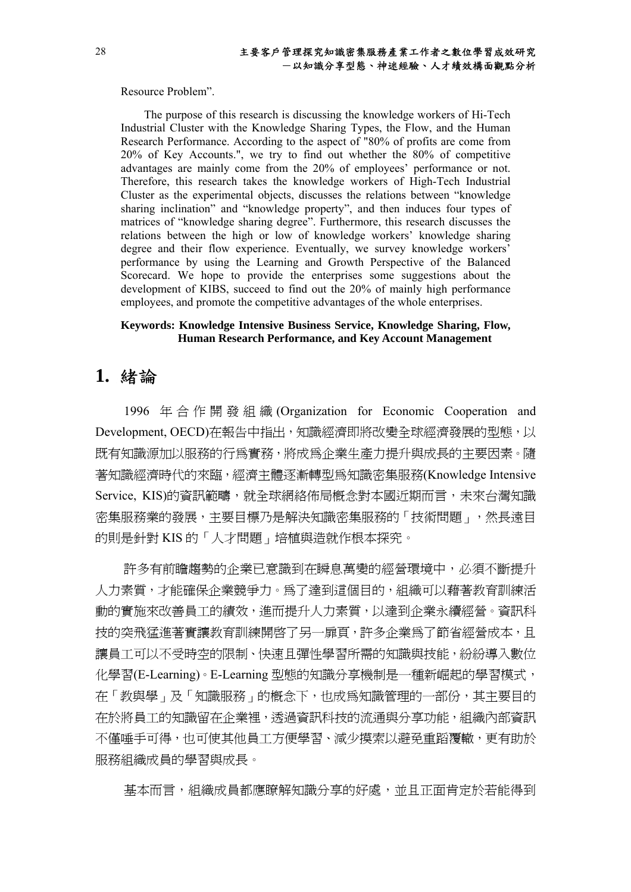Resource Problem".

The purpose of this research is discussing the knowledge workers of Hi-Tech Industrial Cluster with the Knowledge Sharing Types, the Flow, and the Human Research Performance. According to the aspect of "80% of profits are come from 20% of Key Accounts.", we try to find out whether the 80% of competitive advantages are mainly come from the 20% of employees' performance or not. Therefore, this research takes the knowledge workers of High-Tech Industrial Cluster as the experimental objects, discusses the relations between "knowledge sharing inclination" and "knowledge property", and then induces four types of matrices of "knowledge sharing degree". Furthermore, this research discusses the relations between the high or low of knowledge workers' knowledge sharing degree and their flow experience. Eventually, we survey knowledge workers' performance by using the Learning and Growth Perspective of the Balanced Scorecard. We hope to provide the enterprises some suggestions about the development of KIBS, succeed to find out the 20% of mainly high performance employees, and promote the competitive advantages of the whole enterprises.

#### **Keywords: Knowledge Intensive Business Service, Knowledge Sharing, Flow, Human Research Performance, and Key Account Management**

## **1.** 緒論

1996 年合作開發組織 (Organization for Economic Cooperation and Development, OECD)在報告中指出,知識經濟即將改變全球經濟發展的型態,以 既有知識源加以服務的行為實務,將成為企業生產力提升與成長的主要因素。隨 著知識經濟時代的來臨,經濟主體逐漸轉型為知識密集服務(Knowledge Intensive Service, KIS)的資訊範疇, 就全球網絡佈局概念對本國近期而言, 未來台灣知識 密集服務業的發展,主要目標乃是解決知識密集服務的「技術問題」,然長遠目 的則是針對 KIS 的「人才問題」培植與造就作根本探究。

許多有前瞻趨勢的企業已意識到在瞬息萬變的經營環境中,必須不斷提升 人力素質,才能確保企業競爭力。為了達到這個目的,組織可以藉著教育訓練活 動的實施來改善員工的績效,進而提升人力素質,以達到企業永續經營。資訊科 技的突飛猛進著實讓教育訓練開啓了另一扉頁,許多企業為了節省經營成本,且 讓員工可以不受時空的限制、快速且彈性學習所需的知識與技能,紛紛導入數位 化學習(E-Learning)。E-Learning 型態的知識分享機制是一種新崛起的學習模式, 在「教與學」及「知識服務」的概念下,也成為知識管理的一部份,其主要目的 在於將員工的知識留在企業裡,透過資訊科技的流通與分享功能,組織內部資訊 不僅唾手可得,也可使其他員工方便學習、減少摸索以避免重蹈覆轍,更有助於 服務組織成員的學習與成長。

基本而言,組織成員都應瞭解知識分享的好處,並且正面肯定於若能得到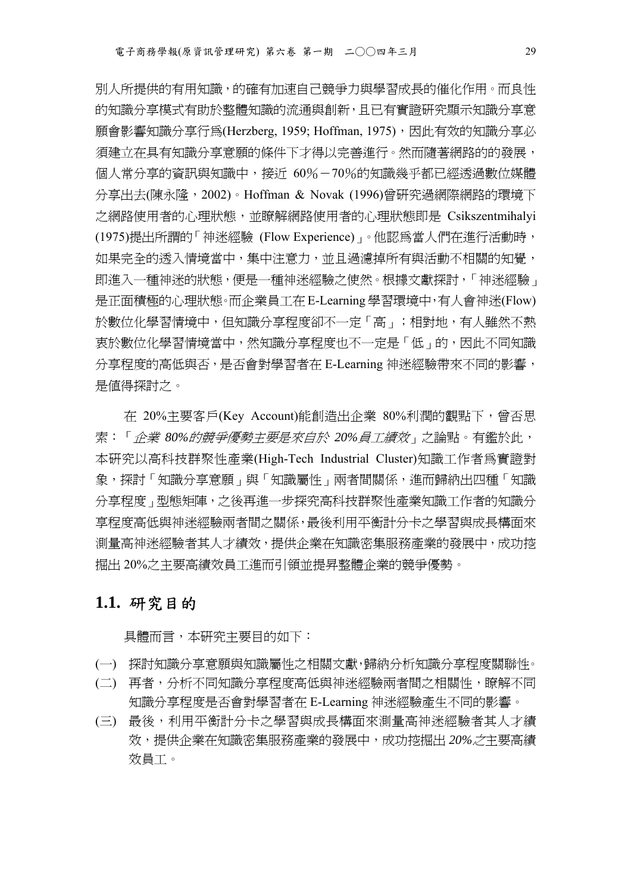別人所提供的有用知識,的確有加速自己競爭力與學習成長的催化作用。而良性 的知識分享模式有助於整體知識的流通與創新,且已有實證研究顯示知識分享意 願會影響知識分享行爲(Herzberg, 1959; Hoffman, 1975), 因此有效的知識分享必 須建立在具有知識分享意願的條件下才得以完善進行。然而隨著網路的的發展, 個人常分享的資訊與知識中,接近 60%-70%的知識幾乎都已經透過數位媒體 分享出去(陳永隆,2002)。Hoffman & Novak (1996)曾研究過網際網路的環境下 之網路使用者的心理狀態,並瞭解網路使用者的心理狀態即是 Csikszentmihalyi (1975)提出所謂的「神迷經驗 (Flow Experience)」。他認為當人們在進行活動時, 如果完全的透入情境當中,集中注意力,並且過濾掉所有與活動不相關的知覺, 即進入一種神迷的狀態,便是一種神迷經驗之使然。根據文獻探討,「神迷經驗」 是正面積極的心理狀態。而企業員工在 E-Learning 學習環境中,有人會神迷(Flow) 於數位化學習情境中,但知識分享程度卻不一定「高」;相對地,有人雖然不熱 衷於數位化學習情境當中,然知識分享程度也不一定是「低」的,因此不同知識 分享程度的高低與否,是否會對學習者在 E-Learning 神迷經驗帶來不同的影響, 是值得探討之。

在 20%主要客戶(Key Account)能創造出企業 80%利潤的觀點下,曾否思 索:「企業 *80%*的競爭優勢主要是來自於 *20%*員工績效」之論點。有鑑於此, 本研究以高科技群聚性產業(High-Tech Industrial Cluster)知識工作者為實證對 象,探討「知識分享意願」與「知識屬性」兩者間關係,進而歸納出四種「知識 分享程度」型態矩陣,之後再進一步探究高科技群聚性產業知識工作者的知識分 享程度高低與神迷經驗兩者間之關係,最後利用平衡計分卡之學習與成長構面來 測量高神迷經驗者其人才績效,提供企業在知識密集服務產業的發展中,成功挖 掘出 20%之主要高績效員工進而引領並提昇整體企業的競爭優勢。

## **1.1.** 研究目的

具體而言,本研究主要目的如下:

- (一) 探討知識分享意願與知識屬性之相關文獻,歸納分析知識分享程度關聯性。
- (二) 再者,分析不同知識分享程度高低與神迷經驗兩者間之相關性,瞭解不同 知識分享程度是否會對學習者在 E-Learning 神迷經驗產生不同的影響。
- (三) 最後,利用平衡計分卡之學習與成長構面來測量高神迷經驗者其人才績 效,提供企業在知識密集服務產業的發展中,成功挖掘出 *20%*之主要高績 效員工。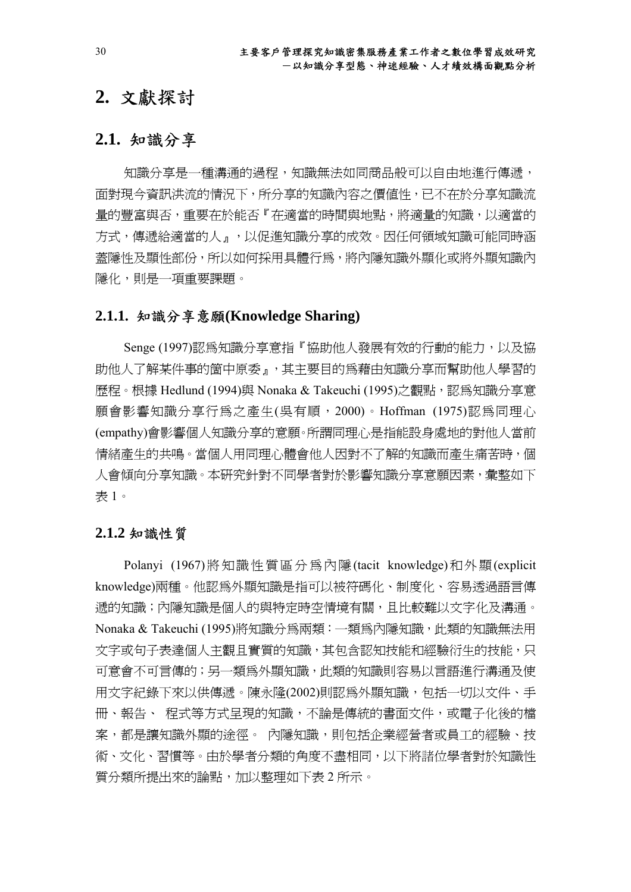# **2.** 文獻探討

## **2.1.** 知識分享

知識分享是一種溝通的過程,知識無法如同商品般可以自由地進行傳遞, 面對現今資訊洪流的情況下,所分享的知識內容之價值性,已不在於分享知識流 量的豐富與否,重要在於能否『在適當的時間與地點,將適量的知識,以適當的 方式,傳遞給適當的人』,以促進知識分享的成效。因任何領域知識可能同時涵 蓋隱性及顯性部份,所以如何採用具體行為,將內隱知識外顯化或將外顯知識內 隱化,則是一項重要課題。

### **2.1.1.** 知識分享意願**(Knowledge Sharing)**

Senge (1997)認為知識分享意指『協助他人發展有效的行動的能力,以及協 助他人了解某件事的箇中原委』,其主要目的為藉由知識分享而幫助他人學習的 歷程。根據 Hedlund (1994)與 Nonaka & Takeuchi (1995)之觀點,認為知識分享意 願會影響知識分享行為之產生(吳有順,2000)。Hoffman (1975)認為同理心 (empathy)會影響個人知識分享的意願。所謂同理心是指能設身處地的對他人當前 情緒產生的共鳴。當個人用同理心體會他人因對不了解的知識而產生痛苦時,個 人會傾向分享知識。本研究針對不同學者對於影響知識分享意願因素,彙整如下 表 1。

#### **2.1.2** 知識性質

Polanyi (1967)將知識性質區分為內隱(tacit knowledge)和外顯(explicit knowledge)兩種。他認為外顯知識是指可以被符碼化、制度化、容易透過語言傳 遞的知識;內隱知識是個人的與特定時空情境有關,且比較難以文字化及溝通。 Nonaka & Takeuchi (1995)將知識分為兩類:一類為內隱知識,此類的知識無法用 文字或句子表達個人主觀且實質的知識,其包含認知技能和經驗衍生的技能,只 可意會不可言傳的;另一類為外顯知識,此類的知識則容易以言語進行溝通及使 用文字紀錄下來以供傳遞。陳永隆(2002)則認為外顯知識,包括一切以文件、手 冊、報告、 程式等方式呈現的知識,不論是傳統的書面文件,或電子化後的檔 案,都是讓知識外顯的途徑。 內隱知識,則包括企業經營者或員工的經驗、技 術、文化、習慣等。由於學者分類的角度不盡相同,以下將諸位學者對於知識性 質分類所提出來的論點,加以整理如下表 2 所示。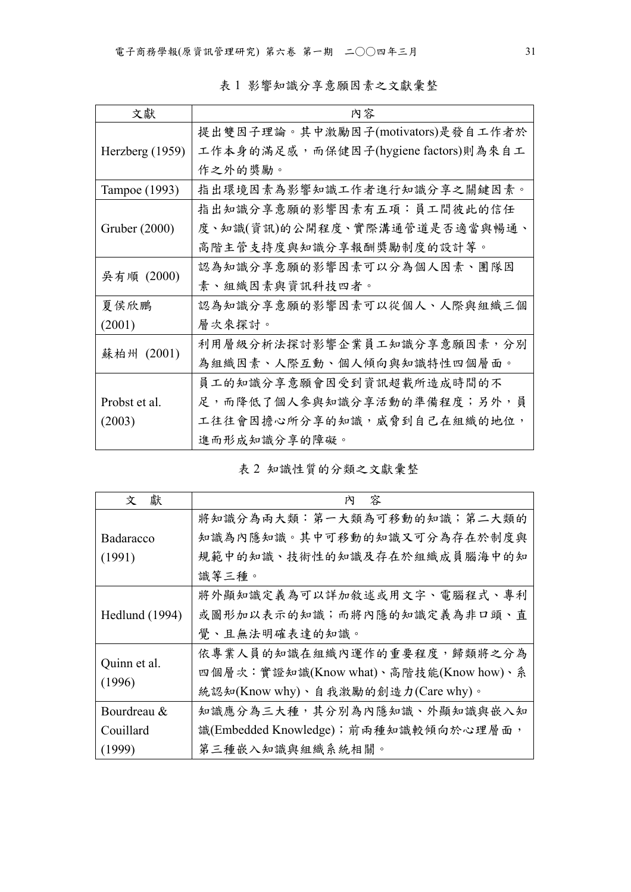表 1 影響知識分享意願因素之文獻彙整

| 文獻              | 内容                                   |
|-----------------|--------------------------------------|
|                 | 提出雙因子理論。其中激勵因子(motivators)是發自工作者於    |
| Herzberg (1959) | 工作本身的满足感,而保健因子(hygiene factors)則為來自工 |
|                 | 作之外的獎勵。                              |
| Tampoe (1993)   | 指出環境因素為影響知識工作者進行知識分享之關鍵因素。           |
|                 | 指出知識分享意願的影響因素有五項:員工間彼此的信任            |
| Gruber (2000)   | 度、知識(資訊)的公開程度、實際溝通管道是否適當與暢通、         |
|                 | 高階主管支持度與知識分享報酬獎勵制度的設計等。              |
| 吳有順 (2000)      | 認為知識分享意願的影響因素可以分為個人因素、團隊因            |
|                 | 素、組織因素與資訊科技四者。                       |
| 夏侯欣鵬            | 認為知識分享意願的影響因素可以從個人、人際與組織三個           |
| (2001)          | 層次來探討。                               |
| 蘇柏州 (2001)      | 利用層級分析法探討影響企業員工知識分享意願因素,分別           |
|                 | 為組織因素、人際互動、個人傾向與知識特性四個層面。            |
|                 | 員工的知識分享意願會因受到資訊超載所造成時間的不             |
| Probst et al.   | 足,而降低了個人參與知識分享活動的準備程度;另外,員           |
| (2003)          | 工往往會因擔心所分享的知識,威脅到自己在組織的地位,           |
|                 | 進而形成知識分享的障礙。                         |

表 2 知識性質的分類之文獻彙整

| 獻<br>文                | 容<br>內                                |
|-----------------------|---------------------------------------|
|                       | 將知識分為兩大類:第一大類為可移動的知識;第二大類的            |
| Badaracco             | 知識為內隱知識。其中可移動的知識又可分為存在於制度與            |
| (1991)                | 規範中的知識、技術性的知識及存在於組織成員腦海中的知            |
|                       | 識等三種。                                 |
|                       | 將外顯知識定義為可以詳加敘述或用文字、電腦程式、專利            |
| <b>Hedlund</b> (1994) | 或圖形加以表示的知識;而將內隱的知識定義為非口頭、直            |
|                       | 覺、且無法明確表達的知識。                         |
|                       | 依專業人員的知識在組織內運作的重要程度,歸類將之分為            |
| Quinn et al.          | 四個層次:實證知識(Know what)、高階技能(Know how)、系 |
| (1996)                | 統認知(Know why)、自我激勵的創造力(Care why)。     |
| Bourdreau &           | 知識應分為三大種,其分別為內隱知識、外顯知識與嵌入知            |
| Couillard             | 識(Embedded Knowledge); 前兩種知識較傾向於心理層面, |
| (1999)                | 第三種嵌入知識與組織系統相關。                       |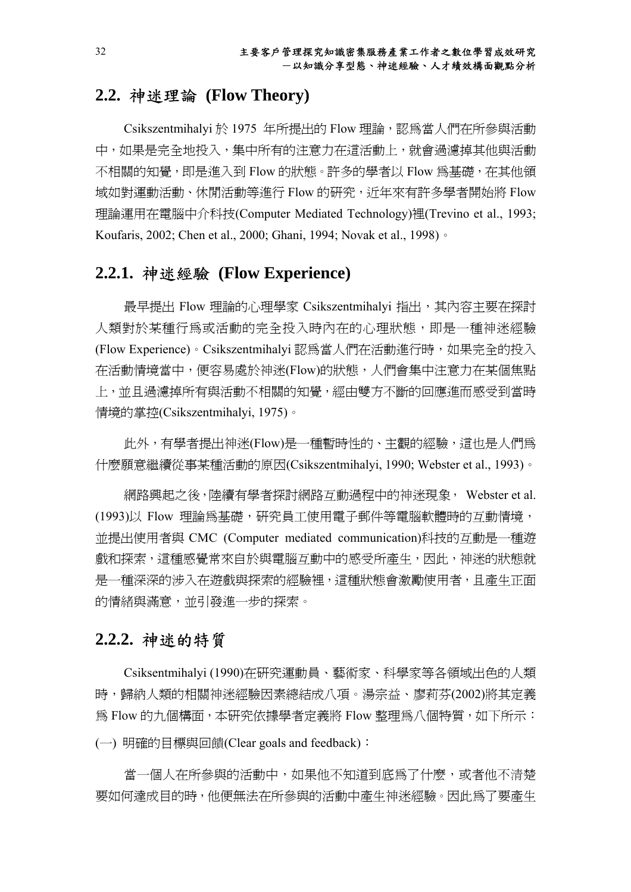## **2.2.** 神迷理論 **(Flow Theory)**

Csikszentmihalyi 於 1975 年所提出的 Flow 理論,認為當人們在所參與活動 中,如果是完全地投入,集中所有的注意力在這活動上,就會過濾掉其他與活動 不相關的知覺,即是淮入到 Flow 的狀態。許多的學者以 Flow 為基礎, 在其他領 域如對運動活動、休閒活動等進行 Flow 的研究, 近年來有許多學者開始將 Flow 理論運用在電腦中介科技(Computer Mediated Technology)裡(Trevino et al., 1993; Koufaris, 2002; Chen et al., 2000; Ghani, 1994; Novak et al., 1998)。

## **2.2.1.** 神迷經驗 **(Flow Experience)**

最早提出 Flow 理論的心理學家 Csikszentmihalyi 指出,其內容主要在探討 人類對於某種行為或活動的完全投入時內在的心理狀態,即是一種神迷經驗 (Flow Experience)。Csikszentmihalyi 認為當人們在活動進行時,如果完全的投入 在活動情境當中,便容易處於神迷(Flow)的狀態,人們會集中注意力在某個焦點 上,並且過濾掉所有與活動不相關的知覺,經由雙方不斷的回應進而感受到當時 情境的掌控(Csikszentmihalyi, 1975)。

此外,有學者提出神迷(Flow)是一種暫時性的、主觀的經驗,這也是人們為 什麼願意繼續從事某種活動的原因(Csikszentmihalyi, 1990; Webster et al., 1993)。

網路興起之後,陸續有學者探討網路互動過程中的神迷現象, Webster et al. (1993)以 Flow 理論為基礎,研究員工使用電子郵件等電腦軟體時的互動情境, 並提出使用者與 CMC (Computer mediated communication)科技的互動是一種遊 戲和探索,這種感覺常來自於與電腦互動中的感受所產生,因此,神迷的狀態就 是一種深深的涉入在遊戲與探索的經驗裡,這種狀態會激勵使用者,且產生正面 的情緒與滿意,並引發進一步的探索。

## **2.2.2.** 神迷的特質

Csiksentmihalyi (1990)在研究運動員、藝術家、科學家等各領域出色的人類 時,歸納人類的相關神迷經驗因素總結成八項。湯宗益、廖莉芬(2002)將其定義 為 Flow 的九個構面,本研究依據學者定義將 Flow 整理為八個特質,如下所示: (一) 明確的目標與回饋(Clear goals and feedback):

當一個人在所參與的活動中,如果他不知道到底為了什麼,或者他不清楚 要如何達成目的時,他便無法在所參與的活動中產生神迷經驗。因此為了要產生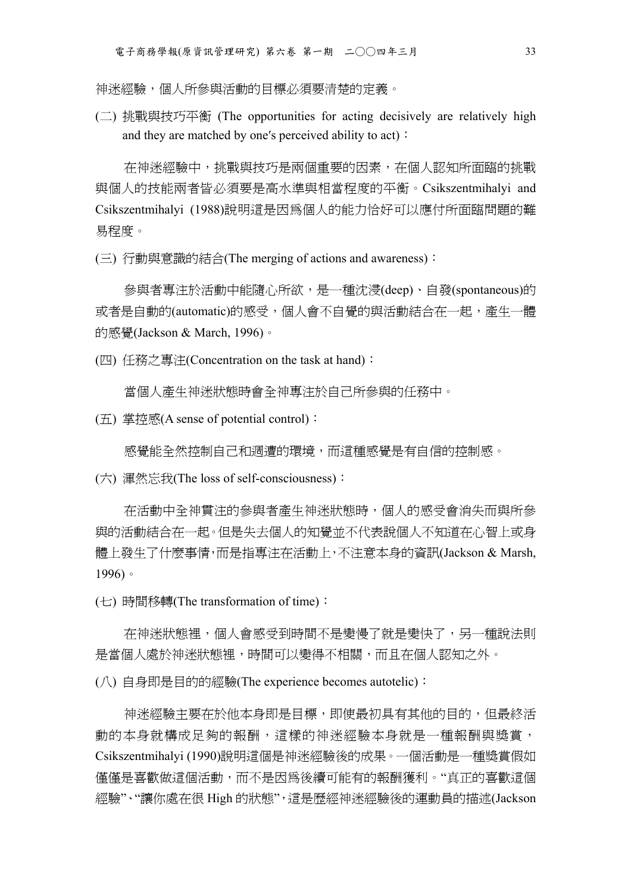神迷經驗,個人所參與活動的目標必須要清楚的定義。

(二) 挑戰與技巧平衡 (The opportunities for acting decisively are relatively high and they are matched by one's perceived ability to act):

在神迷經驗中,挑戰與技巧是兩個重要的因素,在個人認知所面臨的挑戰 與個人的技能兩者皆必須要是高水準與相當程度的平衡。Csikszentmihalyi and Csikszentmihalyi (1988)說明這是因為個人的能力恰好可以應付所面臨問題的難 易程度。

(三) 行動與意識的結合(The merging of actions and awareness):

參與者專注於活動中能隨心所欲,是一種沈浸(deep)、自發(spontaneous)的 或者是自動的(automatic)的感受,個人會不自覺的與活動結合在一起,產生一體 的感覺(Jackson & March, 1996)。

(四) 任務之專注(Concentration on the task at hand):

當個人產生神迷狀態時會全神專注於自己所參與的任務中。

 $(E)$  掌控感(A sense of potential control):

感覺能全然控制自己和週遭的環境,而這種感覺是有自信的控制感。

(六) 渾然忘我(The loss of self-consciousness):

在活動中全神貫注的參與者產生神迷狀態時,個人的感受會消失而與所參 與的活動結合在一起。但是失去個人的知覺並不代表說個人不知道在心智上或身 體上發生了什麼事情,而是指專注在活動上,不注意本身的資訊(Jackson & Marsh, 1996)。

(七) 時間移轉(The transformation of time):

在神迷狀態裡,個人會感受到時間不是變慢了就是變快了,另一種說法則 是當個人處於神迷狀態裡,時間可以變得不相關,而且在個人認知之外。

(八) 自身即是目的的經驗(The experience becomes autotelic):

神迷經驗主要在於他本身即是目標,即使最初具有其他的目的,但最終活 動的本身就構成足夠的報酬,這樣的神迷經驗本身就是一種報酬與獎賞, Csikszentmihalyi (1990)說明這個是神迷經驗後的成果。一個活動是一種獎賞假如 僅僅是喜歡做這個活動,而不是因為後續可能有的報酬獲利。"真正的喜歡這個 經驗"、"讓你處在很 High 的狀態",這是歷經神迷經驗後的運動員的描述(Jackson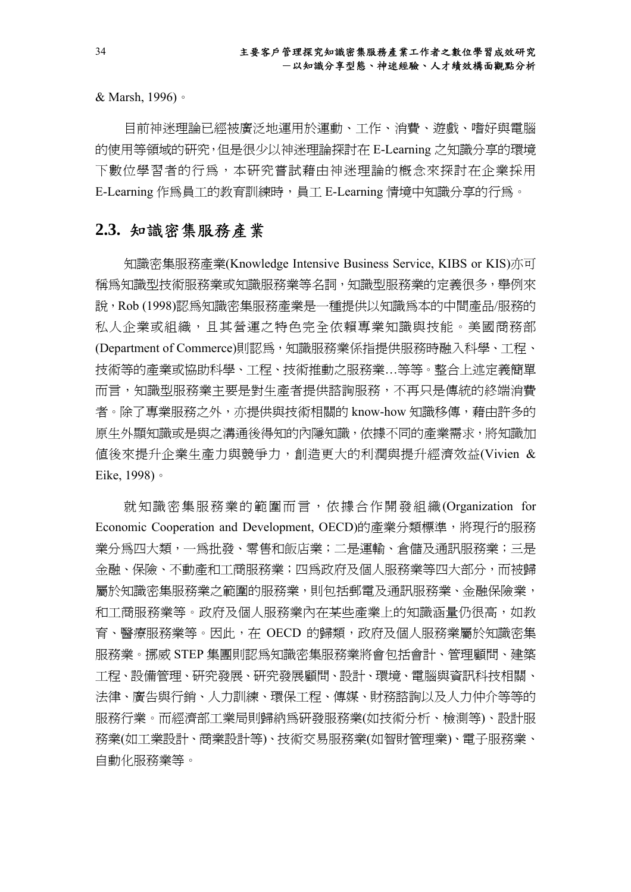& Marsh, 1996)。

目前神迷理論已經被廣泛地運用於運動、工作、消費、遊戲、嗜好與電腦 的使用等領域的研究,但是很少以神迷理論探討在 E-Learning 之知識分享的環境 下數位學習者的行為,本研究嘗試藉由神迷理論的概念來探討在企業採用 E-Learning 作為員工的教育訓練時,員工 E-Learning 情境中知識分享的行為。

## **2.3.** 知識密集服務產業

知識密集服務產業(Knowledge Intensive Business Service, KIBS or KIS)亦可 稱為知識型技術服務業或知識服務業等名詞,知識型服務業的定義很多,舉例來 說, Rob (1998)認爲知識密集服務產業是一種提供以知識爲本的中間產品/服務的 私人企業或組織,且其營運之特色完全依賴專業知識與技能。美國商務部 (Department of Commerce)則認為,知識服務業係指提供服務時融入科學、工程、 技術等的產業或協助科學、工程、技術推動之服務業…等等。整合上述定義簡單 而言,知識型服務業主要是對生產者提供諮詢服務,不再只是傳統的終端消費 者。除了專業服務之外,亦提供與技術相關的 know-how 知識移傳,藉由許多的 原生外顯知識或是與之溝通後得知的內隱知識,依據不同的產業需求,將知識加 值後來提升企業生產力與競爭力,創造更大的利潤與提升經濟效益(Vivien & Eike, 1998)。

就知識密集服務業的範圍而言,依據合作開發組織(Organization for Economic Cooperation and Development, OECD)的產業分類標準,將現行的服務 業分為四大類,一為批發、零售和飯店業;二是運輸、倉儲及通訊服務業;三是 金融、保險、不動產和工商服務業;四為政府及個人服務業等四大部分,而被歸 屬於知識密集服務業之範圍的服務業,則包括郵電及通訊服務業、金融保險業, 和工商服務業等。政府及個人服務業內在某些產業上的知識涵量仍很高,如教 育、醫療服務業等。因此,在 OECD 的歸類,政府及個人服務業屬於知識密集 服務業。挪威 STEP 集團則認為知識密集服務業將會包括會計、管理顧問、建築 工程、設備管理、研究發展、研究發展顧問、設計、環境、電腦與資訊科技相關、 法律、廣告與行銷、人力訓練、環保工程、傳媒、財務諮詢以及人力仲介等等的 服務行業。而經濟部工業局則歸納為研發服務業(如技術分析、檢測等)、設計服 務業(如工業設計、商業設計等)、技術交易服務業(如智財管理業)、電子服務業、 自動化服務業等。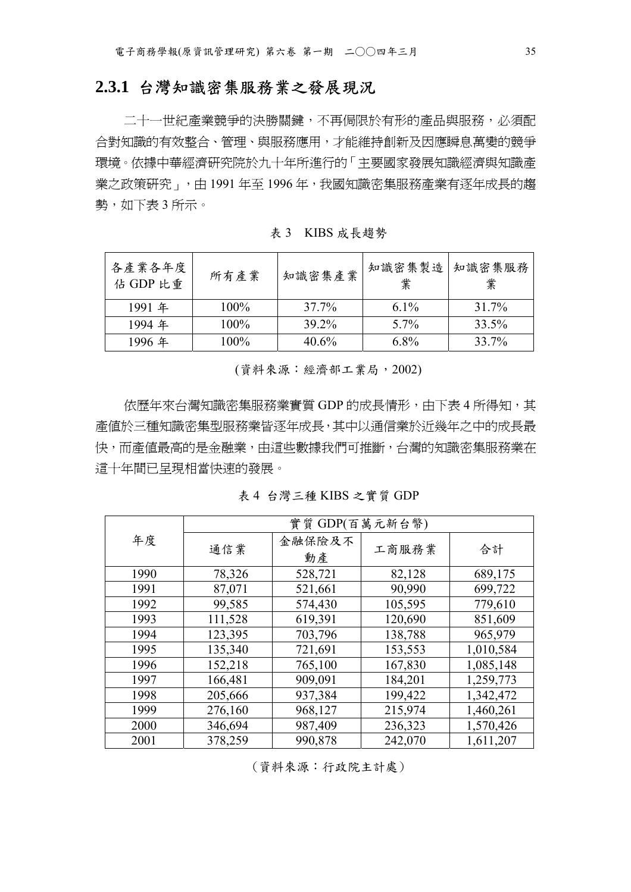## **2.3.1** 台灣知識密集服務業之發展現況

二十一世紀產業競爭的決勝關鍵,不再侷限於有形的產品與服務,必須配 合對知識的有效整合、管理、與服務應用,才能維持創新及因應瞬息萬變的競爭 環境。依據中華經濟研究院於九十年所進行的「主要國家發展知識經濟與知識產 業之政策研究」,由 1991年至 1996年,我國知識密集服務產業有逐年成長的趨 勢,如下表 3 所示。

表 3 KIBS 成長趨勢

| 各產業各年度<br>佔 GDP 比重 | 所有產業    | 知識密集產業            | 知識密集製造<br>業 | 知識密集服務<br>業 |
|--------------------|---------|-------------------|-------------|-------------|
| 1991 年             | $100\%$ | 37.7%             | 6.1\%       | 31.7%       |
| 1994年              | $100\%$ | 39 2 <sub>%</sub> | $5.7\%$     | 33.5%       |
| 1996年              | $100\%$ | 40.6%             | 6.8%        | 33.7%       |

(資料來源:經濟部工業局,2002)

依歷年來台灣知識密集服務業實質 GDP 的成長情形,由下表 4 所得知,其 產值於三種知識密集型服務業皆逐年成長,其中以通信業於近幾年之中的成長最 快,而產值最高的是金融業,由這些數據我們可推斷,台灣的知識密集服務業在 這十年間已呈現相當快速的發展。

表 4 台灣三種 KIBS 之實質 GDP

|      | 實質 GDP(百萬元新台幣) |              |         |           |  |
|------|----------------|--------------|---------|-----------|--|
| 年度   | 通信業            | 金融保險及不<br>動產 | 工商服務業   | 合計        |  |
| 1990 | 78,326         | 528,721      | 82,128  | 689,175   |  |
| 1991 | 87,071         | 521,661      | 90,990  | 699,722   |  |
| 1992 | 99,585         | 574,430      | 105,595 | 779,610   |  |
| 1993 | 111,528        | 619,391      | 120,690 | 851,609   |  |
| 1994 | 123,395        | 703,796      | 138,788 | 965,979   |  |
| 1995 | 135,340        | 721,691      | 153,553 | 1,010,584 |  |
| 1996 | 152,218        | 765,100      | 167,830 | 1,085,148 |  |
| 1997 | 166,481        | 909,091      | 184,201 | 1,259,773 |  |
| 1998 | 205,666        | 937,384      | 199,422 | 1,342,472 |  |
| 1999 | 276,160        | 968,127      | 215,974 | 1,460,261 |  |
| 2000 | 346,694        | 987,409      | 236,323 | 1,570,426 |  |
| 2001 | 378,259        | 990,878      | 242,070 | 1,611,207 |  |

<sup>(</sup>資料來源:行政院主計處)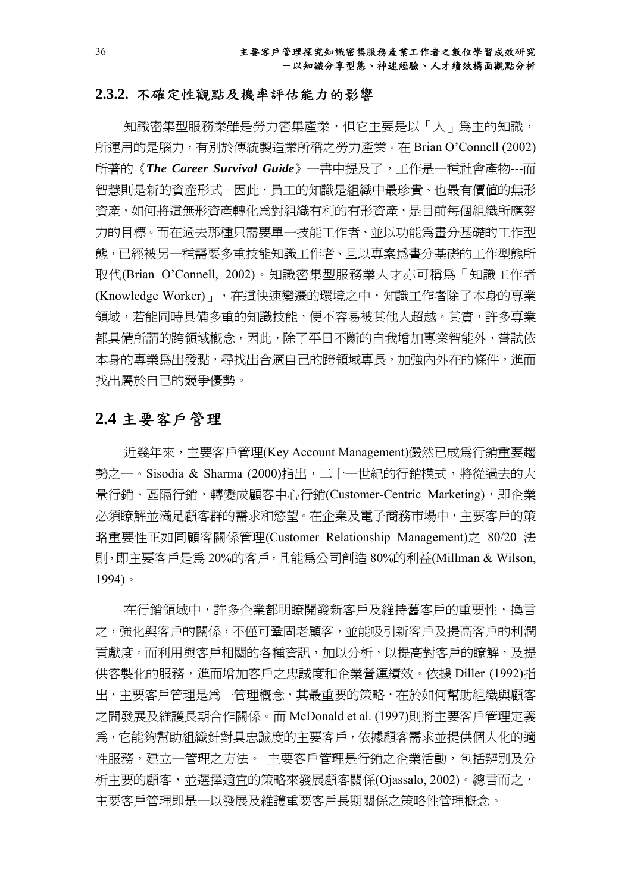#### **2.3.2.** 不確定性觀點及機率評估能力的影響

知識密集型服務業雖是勞力密集產業,但它主要是以「人」為主的知識, 所運用的是腦力,有別於傳統製造業所稱之勞力產業。在 Brian O'Connell (2002) 所著的《*The Career Survival Guide*》一書中提及了,工作是一種社會產物---而 智慧則是新的資產形式。因此,員工的知識是組織中最珍貴、也最有價值的無形 資產,如何將這無形資產轉化為對組織有利的有形資產,是目前每個組織所應努 力的目標。而在過去那種只需要單一技能工作者、並以功能為畫分基礎的工作型 態,已經被另一種需要多重技能知識工作者、且以專案為畫分基礎的工作型態所 取代(Brian O'Connell, 2002)。知識密集型服務業人才亦可稱為「知識工作者 (Knowledge Worker)」,在這快速變遷的環境之中,知識工作者除了本身的專業 領域,若能同時具備多重的知識技能,便不容易被其他人超越。其實,許多專業 都具備所謂的跨領域概念,因此,除了平日不斷的自我增加專業智能外,嘗試依 本身的專業為出發點,尋找出合適自己的跨領域專長,加強內外在的條件,進而 找出屬於自己的競爭優勢。

## **2.4** 主要客戶管理

近幾年來,主要客戶管理(Key Account Management)儼然已成為行銷重要趨 勢之一。Sisodia & Sharma  $(2000)$ 指出,二十一世紀的行銷模式,將從過去的大 量行銷、區隔行銷,轉變成顧客中心行銷(Customer-Centric Marketing),即企業 必須瞭解並滿足顧客群的需求和慾望。在企業及電子商務市場中,主要客戶的策 略重要性正如同顧客關係管理(Customer Relationship Management)之 80/20 法 則,即主要客戶是為 20%的客戶,且能為公司創造 80%的利益(Millman & Wilson, 1994)。

在行銷領域中,許多企業都明瞭開發新客戶及維持舊客戶的重要性,換言 之,強化與客戶的關係,不僅可鞏固老顧客,並能吸引新客戶及提高客戶的利潤 貢獻度。而利用與客戶相關的各種資訊,加以分析,以提高對客戶的瞭解,及提 供客製化的服務,進而增加客戶之忠誠度和企業營運績效。依據 Diller (1992)指 出,主要客戶管理是為一管理概念,其最重要的策略,在於如何幫助組織與顧客 之間發展及維護長期合作關係。而 McDonald et al. (1997)則將主要客戶管理定義 為,它能夠幫助組織針對具忠誠度的主要客戶,依據顧客需求並提供個人化的適 性服務,建立一管理之方法。 主要客戶管理是行銷之企業活動,包括辨別及分 析主要的顧客,並選擇適宜的策略來發展顧客關係(Ojassalo, 2002)。總言而之, 主要客戶管理即是一以發展及維護重要客戶長期關係之策略性管理概念。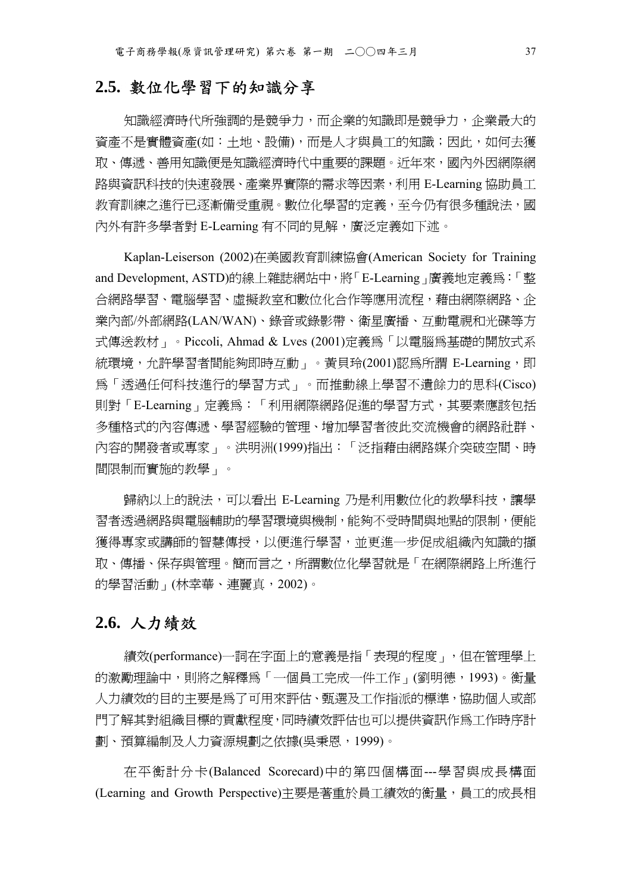## **2.5.** 數位化學習下的知識分享

知識經濟時代所強調的是競爭力,而企業的知識即是競爭力,企業最大的 資產不是實體資產(如:土地、設備),而是人才與員工的知識;因此,如何去獲 取、傳遞、善用知識便是知識經濟時代中重要的課題。近年來,國內外因網際網 路與資訊科技的快速發展、產業界實際的需求等因素,利用 E-Learning 協助員工 教育訓練之進行已逐漸備受重視。數位化學習的定義,至今仍有很多種說法,國 內外有許多學者對 E-Learning 有不同的見解, 廣泛定義如下沭。

Kaplan-Leiserson (2002)在美國教育訓練協會(American Society for Training and Development, ASTD)的線上雜誌網站中,將「E-Learning」廣義地定義為:「整 合網路學習、電腦學習、虛擬教室和數位化合作等應用流程,藉由網際網路、企 業內部/外部網路(LAN/WAN)、錄音或錄影帶、衛星廣播、互動電視和光碟等方 式傳送教材」。Piccoli, Ahmad & Lves (2001)定義為「以電腦為基礎的開放式系 統環境,允許學習者間能夠即時互動」。黃貝玲(2001)認為所謂 E-Learning,即 為「透過任何科技進行的學習方式」。而推動線上學習不遺餘力的思科(Cisco) 則對「E-Learning」定義為:「利用網際網路促進的學習方式,其要素應該包括 多種格式的內容傳遞、學習經驗的管理、增加學習者彼此交流機會的網路社群、 內容的開發者或專家」。洪明洲(1999)指出:「泛指藉由網路媒介突破空間、時 間限制而實施的教學」。

歸納以上的說法,可以看出 E-Learning 乃是利用數位化的教學科技,讓學 習者透過網路與電腦輔助的學習環境與機制,能夠不受時間與地點的限制,便能 獲得專家或講師的智慧傳授,以便進行學習,並更進一步促成組織內知識的擷 取、傳播、保存與管理。簡而言之,所謂數位化學習就是「在網際網路上所進行 的學習活動」(林幸華、連麗真,2002)。

## **2.6.** 人力績效

績效(performance)一詞在字面上的意義是指「表現的程度」,但在管理學上 的激勵理論中,則將之解釋爲「一個員工完成一件工作」(劉明德,1993)。衡量 人力績效的目的主要是為了可用來評估、甄選及工作指派的標準,協助個人或部 門了解其對組織目標的貢獻程度,同時績效評估也可以提供資訊作為工作時序計 劃、預算編制及人力資源規劃之依據(吳秉恩,1999)。

在平衡計分卡(Balanced Scorecard)中的第四個構面---學習與成長構面 (Learning and Growth Perspective)主要是著重於員工績效的衡量,員工的成長相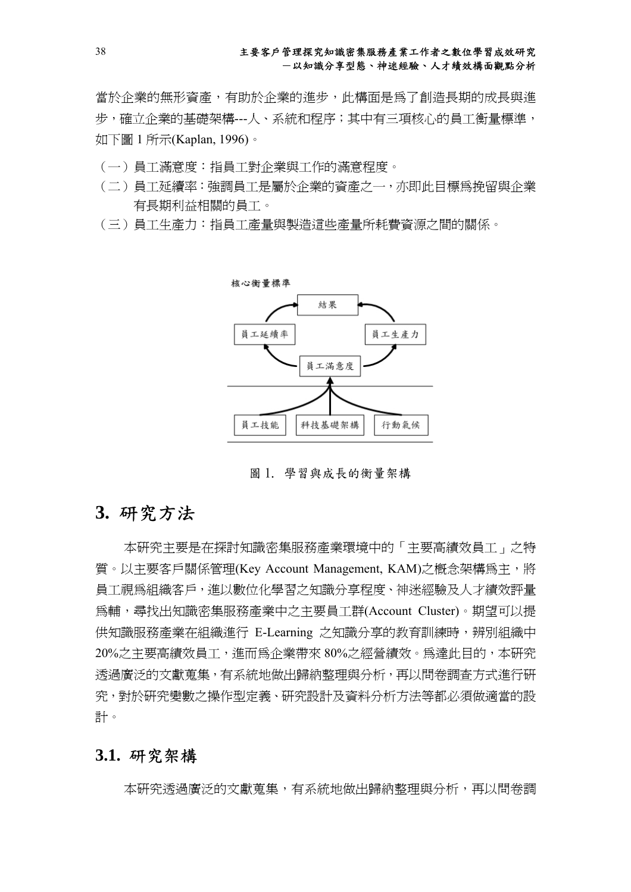當於企業的無形資產,有助於企業的進步,此構面是為了創造長期的成長與進 步,確立企業的基礎架構---人、系統和程序;其中有三項核心的員工衡量標準, 如下圖 1 所示(Kaplan, 1996)。

- (一)員工滿意度:指員工對企業與工作的滿意程度。
- (二)員工延續率:強調員工是屬於企業的資產之一,亦即此目標為挽留與企業 有長期利益相關的員工。
- (三)員工生產力:指員工產量與製造這些產量所耗費資源之間的關係。



圖 1. 學習與成長的衡量架構

## **3.** 研究方法

本研究主要是在探討知識密集服務產業環境中的「主要高績效員工」之特 質。以主要客戶關係管理(Key Account Management, KAM)之槪念架構為主,將 員工視為組織客戶,進以數位化學習之知識分享程度、神迷經驗及人才績效評量 為輔,尋找出知識密集服務產業中之主要員工群(Account Cluster)。期望可以提 供知識服務產業在組織進行 E-Learning 之知識分享的教育訓練時,辨別組織中 20%之主要高績效員工,進而為企業帶來 80%之經營績效。為達此目的,本研究 透過廣泛的文獻蒐集,有系統地做出歸納整理與分析,再以問卷調查方式進行研 究,對於研究變數之操作型定義、研究設計及資料分析方法等都必須做適當的設 計。

## **3.1.** 研究架構

本研究透過廣泛的文獻蒐集,有系統地做出歸納整理與分析,再以問卷調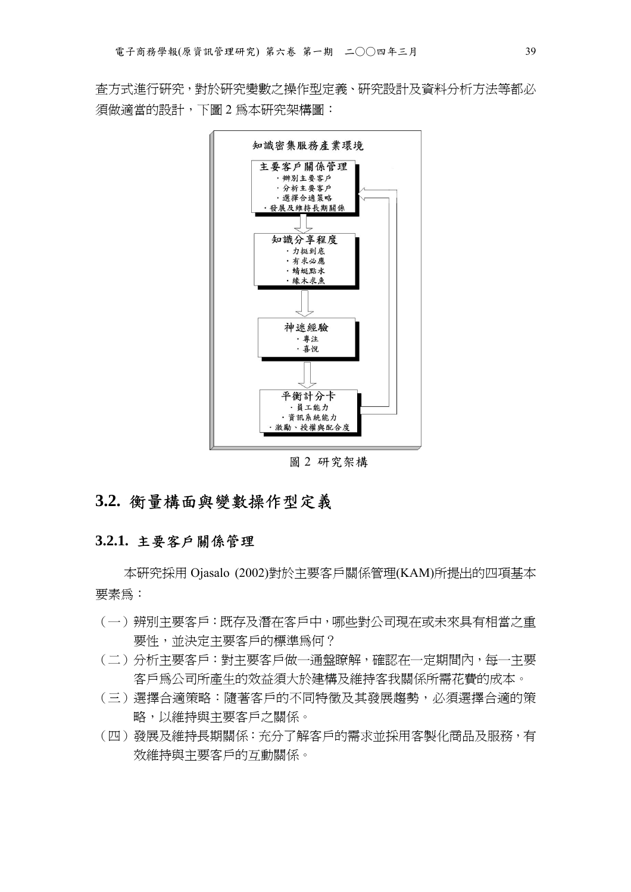查方式進行研究,對於研究變數之操作型定義、研究設計及資料分析方法等都必 須做適當的設計,下圖 2 為本研究架構圖:



圖 2 研究架構

# **3.2.** 衡量構面與變數操作型定義

#### **3.2.1.** 主要客戶關係管理

本研究採用 Ojasalo (2002)對於主要客戶關係管理(KAM)所提出的四項基本 要素為:

- (一)辨別主要客戶:既存及潛在客戶中,哪些對公司現在或未來具有相當之重 要性,並決定主要客戶的標準為何?
- (二)分析主要客戶:對主要客戶做一通盤瞭解,確認在一定期間內,每一主要 客戶為公司所產生的效益須大於建構及維持客我關係所需花費的成本。
- (三)選擇合適策略:隨著客戶的不同特徵及其發展趨勢,必須選擇合適的策 略,以維持與主要客戶之關係。
- (四)發展及維持長期關係:充分了解客戶的需求並採用客製化商品及服務,有 效維持與主要客戶的互動關係。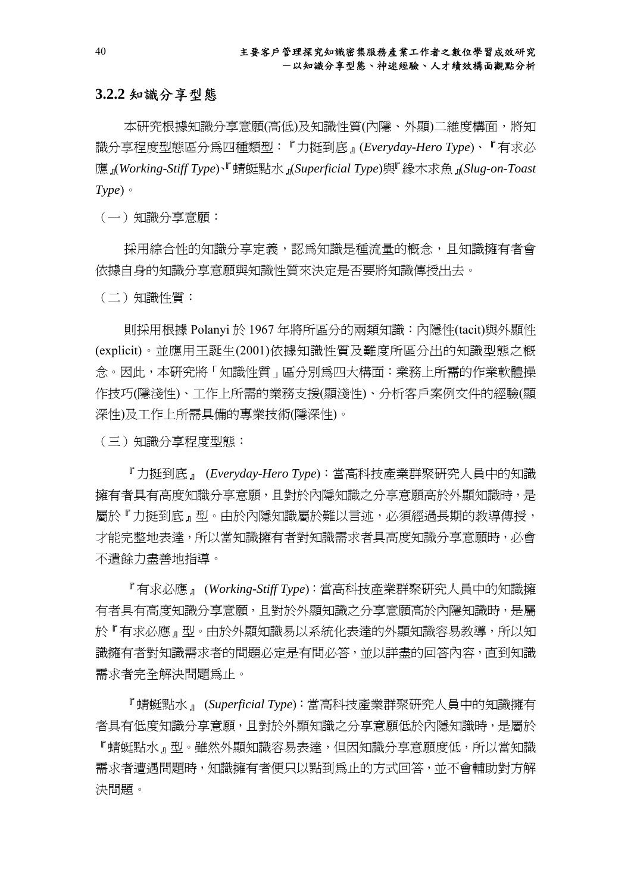### **3.2.2** 知識分享型態

本研究根據知識分享意願(高低)及知識性質(內隱、外顯)二維度構面,將知 識分享程度型態區分為四種類型:『力挺到底』(*Everyday-Hero Type*)、『有求必 應』(*Working-Stiff Type*)、『蜻蜓點水』(*Superficial Type*)與『緣木求魚』(*Slug-on-Toast Type*)。

(一)知識分享意願:

採用綜合性的知識分享定義,認為知識是種流量的概念,且知識擁有者會 依據自身的知識分享意願與知識性質來決定是否要將知識傳授出去。

(二)知識性質:

則採用根據 Polanyi 於 1967 年將所區分的兩類知識:內隱性(tacit)與外顯性 (explicit)。並應用王誕生(2001)依據知識性質及難度所區分出的知識型態之概 念。因此,本研究將「知識性質」區分別為四大構面:業務上所需的作業軟體操 作技巧(隱淺性)、工作上所需的業務支援(顯淺性)、分析客戶案例文件的經驗(顯 深性)及工作上所需具備的專業技術(隱深性)。

(三)知識分享程度型態:

『力挺到底』 (*Everyday-Hero Type*):當高科技產業群聚研究人員中的知識 擁有者具有高度知識分享意願,且對於內隱知識之分享意願高於外顯知識時,是 屬於『力挺到底』型。由於內隱知識屬於難以言述,必須經過長期的教導傳授, 才能完整地表達,所以當知識擁有者對知識需求者具高度知識分享意願時,必會 不遺餘力盡善地指導。

『有求必應』 (*Working-Stiff Type*):當高科技產業群聚研究人員中的知識擁 有者具有高度知識分享意願,且對於外顯知識之分享意願高於內隱知識時,是屬 於『有求必應』型。由於外顯知識易以系統化表達的外顯知識容易教導,所以知 識擁有者對知識需求者的問題必定是有問必答,並以詳盡的回答內容,直到知識 需求者完全解決問題為止。

『蜻蜓點水』 (*Superficial Type*):當高科技產業群聚研究人員中的知識擁有 者具有低度知識分享意願,且對於外顯知識之分享意願低於內隱知識時,是屬於 『蜻蜓點水』型。雖然外顯知識容易表達,但因知識分享意願度低,所以當知識 需求者遭遇問題時,知識擁有者便只以點到為止的方式回答,並不會輔助對方解 決問題。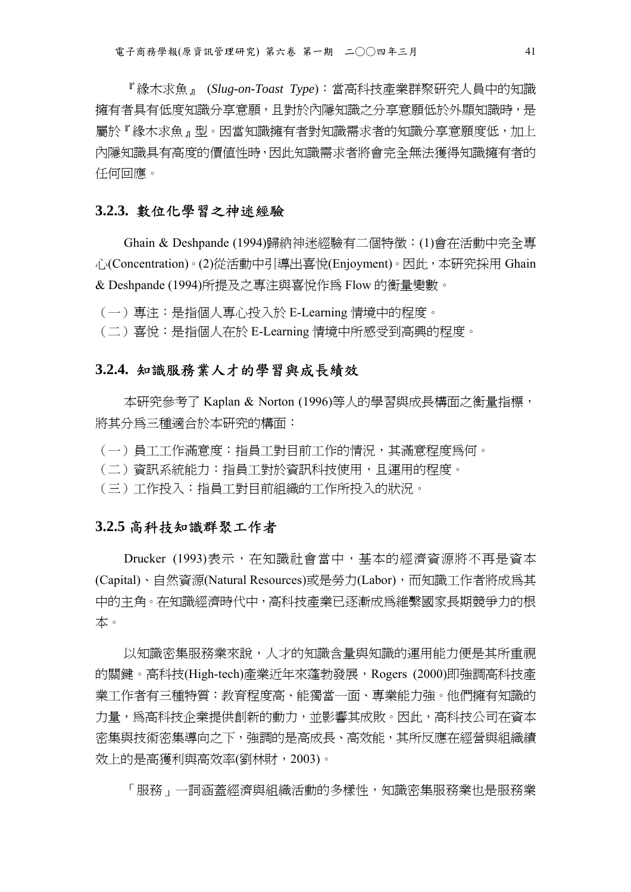『緣木求魚』 (*Slug-on-Toast Type*):當高科技產業群聚研究人員中的知識 擁有者具有低度知識分享意願,且對於內隱知識之分享意願低於外顯知識時,是 屬於『緣木求魚』型。因當知識擁有者對知識需求者的知識分享意願度低,加上 內隱知識具有高度的價值性時,因此知識需求者將會完全無法獲得知識擁有者的 任何回應。

#### **3.2.3.** 數位化學習之神迷經驗

Ghain & Deshpande (1994)歸納神迷經驗有二個特徵:(1)會在活動中完全專 心(Concentration)。(2)從活動中引導出喜悅(Enjoyment)。因此,本研究採用 Ghain & Deshpande (1994)所提及之專注與喜悅作為 Flow 的衡量變數。

(一)專注:是指個人專心投入於 E-Learning 情境中的程度。

(二)喜悅:是指個人在於 E-Learning 情境中所感受到高興的程度。

## **3.2.4.** 知識服務業人才的學習與成長績效

本研究參考了 Kaplan & Norton (1996)等人的學習與成長構面之衡量指標, 將其分為三種適合於本研究的構面:

- (一)員工工作滿意度:指員工對目前工作的情況,其滿意程度為何。
- (二)資訊系統能力:指員工對於資訊科技使用,且運用的程度。
- (三)工作投入:指員工對目前組織的工作所投入的狀況。

#### **3.2.5** 高科技知識群聚工作者

Drucker (1993)表示,在知識社會當中,基本的經濟資源將不再是資本 (Capital)、自然資源(Natural Resources)或是勞力(Labor),而知識工作者將成為其 中的主角。在知識經濟時代中,高科技產業已逐漸成為維繫國家長期競爭力的根 本。

以知識密集服務業來說,人才的知識含量與知識的運用能力便是其所重視 的關鍵。高科技(High-tech)產業近年來蓬勃發展,Rogers (2000)即強調高科技產 業工作者有三種特質:教育程度高、能獨當一面、專業能力強。他們擁有知識的 力量,為高科技企業提供創新的動力,並影響其成敗。因此,高科技公司在資本 密集與技術密集導向之下,強調的是高成長、高效能,其所反應在經營與組織績 效上的是高獲利與高效率(劉林財,2003)。

「服務」一詞涵蓋經濟與組織活動的多樣性,知識密集服務業也是服務業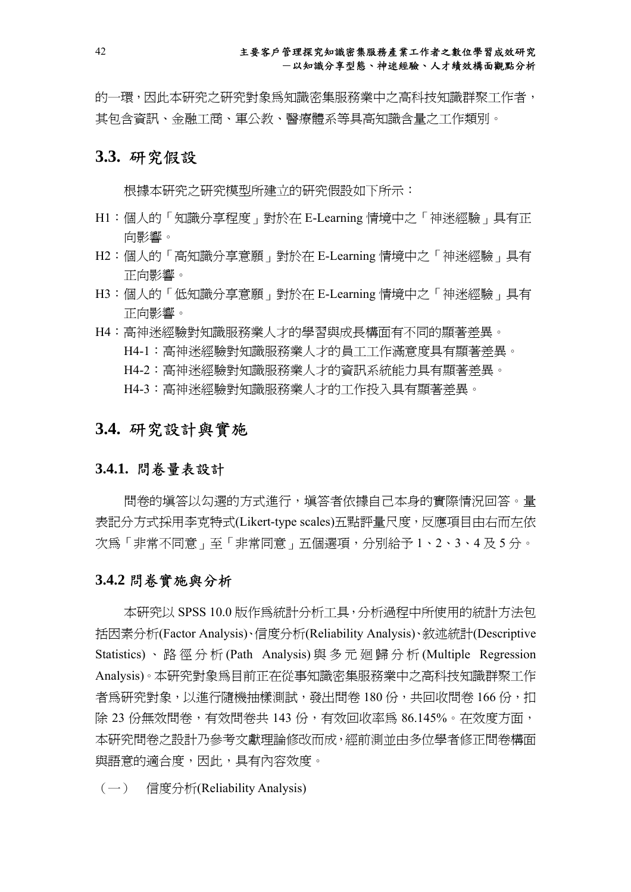的一環,因此本研究之研究對象為知識密集服務業中之高科技知識群聚工作者, 其包含資訊、金融工商、軍公教、醫療體系等具高知識含量之工作類別。

## **3.3.** 研究假設

根據本研究之研究模型所建立的研究假設如下所示:

- H1:個人的「知識分享程度」對於在 E-Learning 情境中之「神迷經驗」具有正 向影響。
- H2:個人的「高知識分享意願」對於在 E-Learning 情境中之「神迷經驗」具有 正向影響。
- H3:個人的「低知識分享意願」對於在 E-Learning 情境中之「神迷經驗」具有 正向影響。
- H4:高神迷經驗對知識服務業人才的學習與成長構面有不同的顯著差異。 H4-1:高神迷經驗對知識服務業人才的員工工作滿意度具有顯著差異。 H4-2:高神迷經驗對知識服務業人才的資訊系統能力具有顯著差異。 H4-3:高神迷經驗對知識服務業人才的工作投入具有顯著差異。

## **3.4.** 研究設計與實施

#### **3.4.1.** 問卷量表設計

問卷的填答以勾選的方式進行,填答者依據自己本身的實際情況回答。量 表記分方式採用李克特式(Likert-type scales)五點評量尺度,反應項目由右而左依 次為「非常不同意」至「非常同意」五個選項,分別給予 1、2、3、4 及 5 分。

#### **3.4.2** 問卷實施與分析

本研究以 SPSS 10.0 版作為統計分析工具,分析過程中所使用的統計方法包 括因素分析(Factor Analysis)、信度分析(Reliability Analysis)、敘述統計(Descriptive Statistics) 、路徑分析 (Path Analysis) 與多元廻歸分析 (Multiple Regression Analysis)。本研究對象為目前正在從事知識密集服務業中之高科技知識群聚工作 者為研究對象,以進行隨機抽樣測試,發出問卷 180份,共回收問卷 166份,扣 除 23 份無效問卷,有效問卷共 143 份,有效回收率為 86.145%。在效度方面, 本研究問卷之設計乃參考文獻理論修改而成,經前測並由多位學者修正問卷構面 與語意的適合度,因此,具有內容效度。

(一) 信度分析(Reliability Analysis)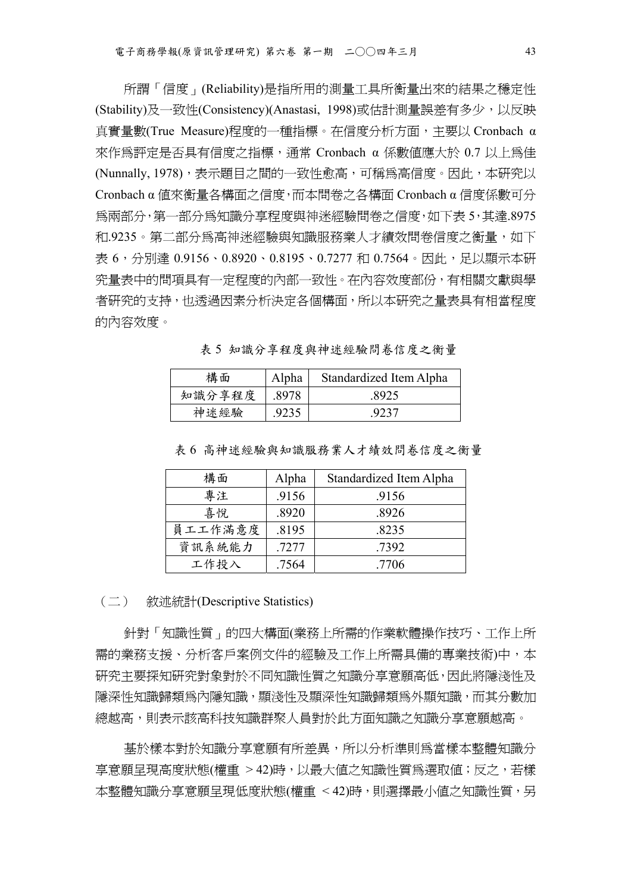所謂「信度」(Reliability)是指所用的測量工具所衡量出來的結果之穩定性 (Stability)及一致性(Consistency)(Anastasi, 1998)或估計測量誤差有多少,以反映 真實量數(True Measure)程度的一種指標。在信度分析方面,主要以 Cronbach α 來作為評定是否具有信度之指標,通常 Cronbach α 係數值應大於 0.7 以上為佳 (Nunnally, 1978), 表示題目之間的一致性愈高, 可稱為高信度。因此, 本研究以 Cronbach α 值來衡量各構面之信度,而本問卷之各構面 Cronbach α 信度係數可分 為兩部分,第一部分為知識分享程度與神迷經驗問卷之信度,如下表 5,其達.8975 和.9235。第二部分為高神迷經驗與知識服務業人才績效問卷信度之衡量,如下 表 6,分別達 0.9156、0.8920、0.8195、0.7277 和 0.7564。因此,足以顯示本研 究量表中的問項具有一定程度的內部一致性。在內容效度部份,有相關文獻與學 者研究的支持,也透過因素分析決定各個構面,所以本研究之量表具有相當程度 的內容效度。

構面 | Alpha | Standardized Item Alpha

表 5 知識分享程度與神迷經驗問卷信度之衡量

| 構面     | Alpha | Standardized Item Alpha |
|--------|-------|-------------------------|
| 知識分享程度 | 8978  | 8925                    |
| 神迷經驗   | .9235 | 9237                    |

表 6 高神迷經驗與知識服務業人才績效問卷信度之衡量

| 構面      | Alpha | Standardized Item Alpha |
|---------|-------|-------------------------|
| 專注      | .9156 | .9156                   |
| 喜悅      | .8920 | .8926                   |
| 員工工作滿意度 | .8195 | .8235                   |
| 資訊系統能力  | .7277 | .7392                   |
| 工作投入    | .7564 | .7706                   |

(二) 敘述統計(Descriptive Statistics)

針對「知識性質」的四大構面(業務上所需的作業軟體操作技巧、工作上所 需的業務支援、分析客戶案例文件的經驗及工作上所需具備的專業技術)中,本 研究主要探知研究對象對於不同知識性質之知識分享意願高低,因此將隱淺性及 隱深性知識歸類為內隱知識,顯淺性及顯深性知識歸類為外顯知識,而其分數加 總越高,則表示該高科技知識群聚人員對於此方面知識之知識分享意願越高。

基於樣本對於知識分享意願有所差異,所以分析準則為當樣本整體知識分 享意願呈現高度狀態(權重 > 42)時,以最大値之知識性質爲選取値;反之,若樣 本整體知識分享意願呈現低度狀態(權重 <42)時,則選擇最小値之知識性質,另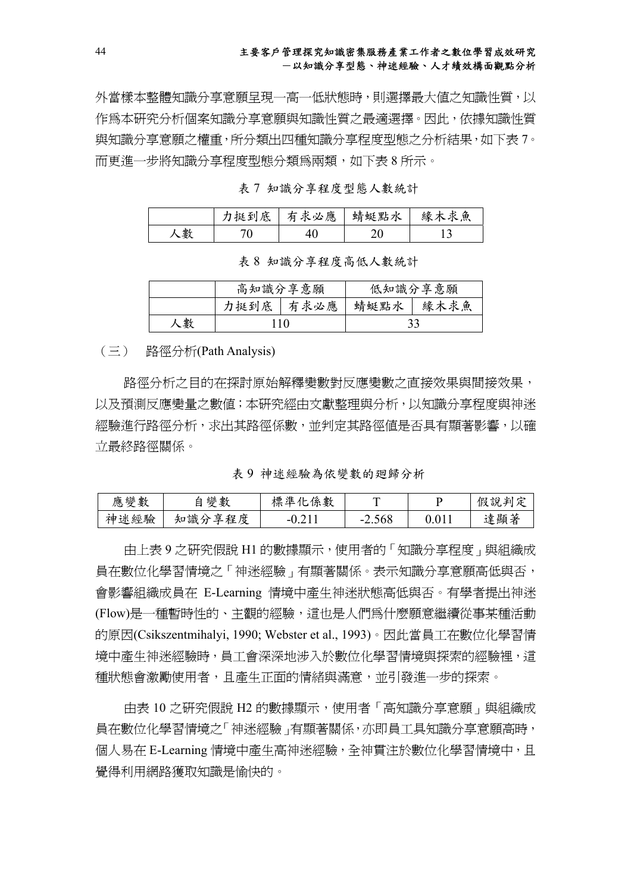#### 主要客戶管理探究知識密集服務產業工作者之數位學習成效研究 -以知識分享型態、神迷經驗、人才績效構面觀點分析

外當樣本整體知識分享意願呈現一高一低狀態時,則選擇最大值之知識性質,以 作為本研究分析個案知識分享意願與知識性質之最適選擇。因此,依據知識性質 與知識分享意願之權重,所分類出四種知識分享程度型態之分析結果,如下表 7。 而更進一步將知識分享程度型態分類為兩類,如下表 8 所示。

表 7 知識分享程度型態人數統計

|   | 挺到底 | 求必應<br>甪 | 蜻蜓點水 | 緣木<br>ヒ魚<br>∓ |
|---|-----|----------|------|---------------|
| 數 | ັ   |          | ν    |               |

表 8 知識分享程度高低人數統計

|   | 高知識分享意願 |          |      | 低知識分享意願 |
|---|---------|----------|------|---------|
|   | 力挺到底    | 有求必<br>應 | 蜻蜓點水 | 緣木求魚    |
| 數 | 110     |          |      |         |

(三) 路徑分析(Path Analysis)

路徑分析之目的在探討原始解釋變數對反應變數之直接效果與間接效果, 以及預測反應變量之數值;本研究經由文獻整理與分析,以知識分享程度與神迷 經驗進行路徑分析,求出其路徑係數,並判定其路徑值是否具有顯著影響,以確 立最終路徑關係。

表 9 神迷經驗為依變數的廻歸分析

| 變數<br>應              | 孿<br>數                     | 淮<br>係<br>標<br>數<br>. Le | ᠇᠇                                    |         | ہے<br>判<br>說<br>假<br>. پ |
|----------------------|----------------------------|--------------------------|---------------------------------------|---------|--------------------------|
| . .<br>經驗<br>祧<br>不申 | 識<br>程<br>享<br>度<br>知<br>∼ | .                        | .568<br>-<br>$\overline{\phantom{0}}$ | $\cdot$ | 顯著<br>達                  |

由上表 9 之研究假說 H1 的數據顯示,使用者的「知識分享程度」與組織成 員在數位化學習情境之「神迷經驗」有顯著關係。表示知識分享意願高低與否, 會影響組織成員在 E-Learning 情境中產生神迷狀態高低與否。有學者提出神迷 (Flow)是一種暫時性的、主觀的經驗,這也是人們為什麼願意繼續從事某種活動 的原因(Csikszentmihalyi, 1990; Webster et al., 1993)。因此當員工在數位化學習情 境中產生神迷經驗時,員工會深深地涉入於數位化學習情境與探索的經驗裡,這 種狀態會激勵使用者,且產生正面的情緒與滿意,並引發進一步的探索。

由表 10 之研究假說 H2 的數據顯示,使用者「高知識分享意願」與組織成 員在數位化學習情境之「神迷經驗」有顯著關係,亦即員工具知識分享意願高時, 個人易在 E-Learning 情境中產生高神迷經驗,全神貫注於數位化學習情境中,且 覺得利用網路獲取知識是愉快的。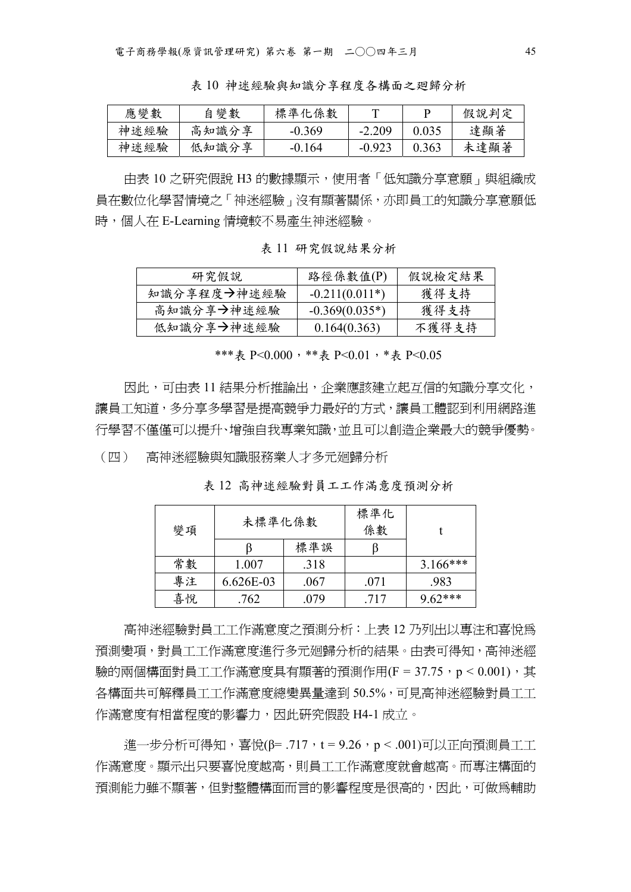表 10 神迷經驗與知識分享程度各構面之廻歸分析

| 應變數  | 變數<br>自 | 標準化係數    |          |       | 假說判定 |
|------|---------|----------|----------|-------|------|
| 神迷經驗 | 高知識分享   | $-0.369$ | $-2.209$ | 0.033 | 達顯著  |
| 神迷經驗 | 低知識分享   | $-0.164$ | $-0.923$ | 0.363 | 未達顯著 |

由表 10 之研究假說 H3 的數據顯示,使用者「低知識分享意願」與組織成 員在數位化學習情境之「神迷經驗」沒有顯著關係,亦即員工的知識分享意願低 時,個人在 E-Learning 情境較不易產生神迷經驗。

表 11 研究假說結果分析

| 研究假說        | 路徑係數值(P)         | 假說檢定結果 |
|-------------|------------------|--------|
| 知識分享程度→神迷經驗 | $-0.211(0.011*)$ | 獲得支持   |
| 高知識分享→神迷經驗  | $-0.369(0.035*)$ | 獲得支持   |
| 低知識分享→神迷經驗  | 0.164(0.363)     | 不獲得支持  |

\*\*\*表 P<0.000,\*\*表 P<0.01,\*表 P<0.05

因此,可由表 11 結果分析推論出,企業應該建立起互信的知識分享文化, 讓員工知道,多分享多學習是提高競爭力最好的方式,讓員工體認到利用網路進 行學習不僅僅可以提升、增強自我專業知識,並且可以創造企業最大的競爭優勢。

(四) 高神迷經驗與知識服務業人才多元廻歸分析

表 12 高神迷經驗對員工工作滿意度預測分析

| 未標準化係數<br>變項 |           |      | 標準化<br>係數 |            |
|--------------|-----------|------|-----------|------------|
|              |           | 標準誤  |           |            |
| 常數           | 1.007     | .318 |           | $3.166***$ |
| 專注           | 6.626E-03 | .067 | .071      | .983       |
| 喜悅           | .762      | .079 | .717      | $9.62***$  |

高神迷經驗對員工工作滿意度之預測分析:上表 12 乃列出以專注和喜悅為 預測變項,對員工工作滿意度進行多元廻歸分析的結果。由表可得知,高神迷經 驗的兩個構面對員工工作滿意度具有顯著的預測作用(F = 37.75, p < 0.001), 其 各構面共可解釋員工工作滿意度總變異量達到 50.5%,可見高神迷經驗對員工工 作滿意度有相當程度的影響力,因此研究假設 H4-1 成立。

進一步分析可得知,喜悅(β= .717,t = 9.26,p < .001)可以正向預測員工工 作滿意度。顯示出只要喜悅度越高,則員工工作滿意度就會越高。而專注構面的 預測能力雖不顯著,但對整體構面而言的影響程度是很高的,因此,可做為輔助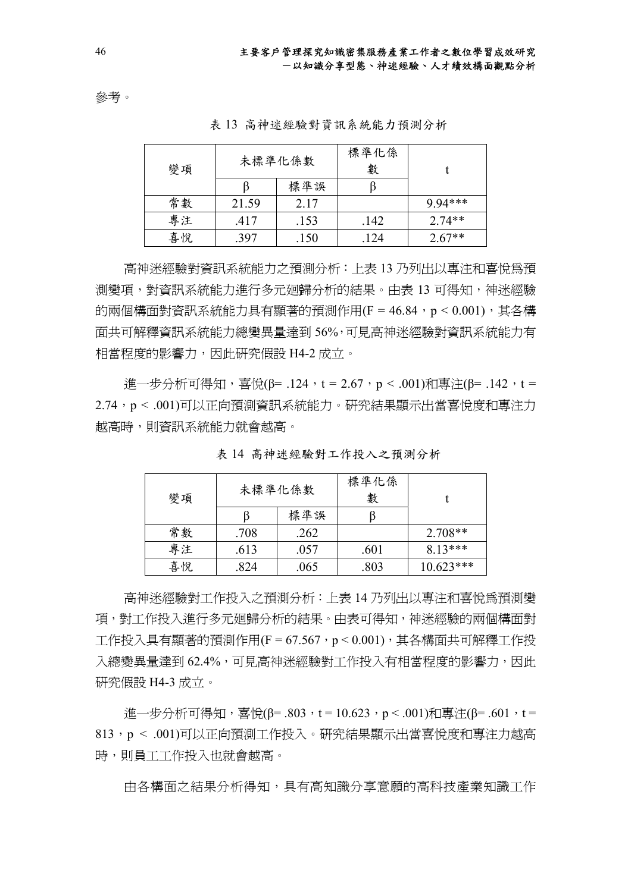參考。

| 變項 | 未標準化係數 |      | 標準化係<br>數 |           |
|----|--------|------|-----------|-----------|
|    |        | 標準誤  |           |           |
| 常數 | 21.59  | 2.17 |           | $9.94***$ |
| 專注 | .417   | .153 | .142      | $2.74**$  |
| 喜悅 | .397   | .150 | .124      | $2.67**$  |

表 13 高神迷經驗對資訊系統能力預測分析

高神迷經驗對資訊系統能力之預測分析:上表 13 乃列出以專注和喜悅為預 測變項,對資訊系統能力進行多元廻歸分析的結果。由表 13 可得知,神迷經驗 的兩個構面對資訊系統能力具有顯著的預測作用(F = 46.84, p < 0.001), 其各構 面共可解釋資訊系統能力總變異量達到 56%,可見高神迷經驗對資訊系統能力有 相當程度的影響力,因此研究假設 H4-2 成立。

進一步分析可得知,喜悅(β= .124,t = 2.67,p < .001)和專注(β= .142,t = 2.74,p < .001)可以正向預測資訊系統能力。研究結果顯示出當喜悅度和專注力 越高時,則資訊系統能力就會越高。

| 變項 | 未標準化係數 |      | 標準化係<br>數 |             |
|----|--------|------|-----------|-------------|
|    |        | 標準誤  |           |             |
| 常數 | .708   | .262 |           | $2.708**$   |
| 專注 | .613   | .057 | .601      | $8.13***$   |
| 喜悅 | .824   | .065 | .803      | $10.623***$ |

表 14 高神迷經驗對工作投入之預測分析

高神迷經驗對工作投入之預測分析:上表 14 乃列出以專注和喜悅為預測變 項,對工作投入進行多元廻歸分析的結果。由表可得知,神迷經驗的兩個構面對 工作投入具有顯著的預測作用(F = 67.567, p < 0.001), 其各構面共可解釋工作投 入總變異量達到 62.4%,可見高神洣經驗對工作投入有相當程度的影響力,因此 研究假設 H4-3 成立。

淮一步分析可得知,喜悅(β= .803,t = 10.623,p < .001)和專注(β= .601,t = 813,p < .001)可以正向預測工作投入。研究結果顯示出當喜悅度和專注力越高 時,則員工工作投入也就會越高。

由各構面之結果分析得知,具有高知識分享意願的高科技產業知識工作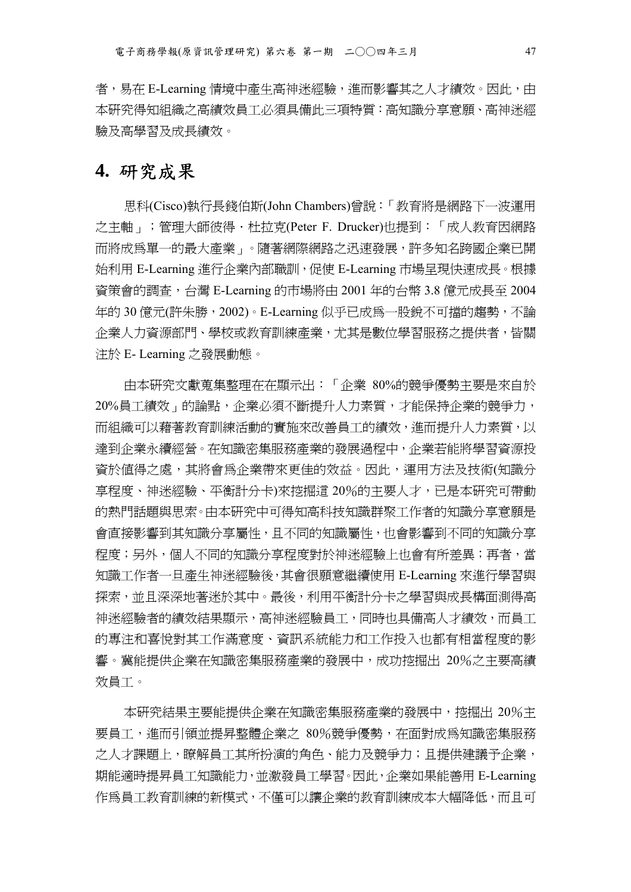者,易在 E-Learning 情境中產生高神洣經驗,進而影響其之人才績效。因此,由 本研究得知組織之高績效員工必須具備此三項特質:高知識分享意願、高神迷經 驗及高學習及成長績效。

# **4.** 研究成果

思科(Cisco)執行長錢伯斯(John Chambers)曾說:「教育將是網路下一波運用 之主軸」;管理大師彼得·杜拉克(Peter F. Drucker)也提到:「成人教育因網路 而將成為單一的最大產業」。隨著網際網路之迅速發展,許多知名跨國企業已開 始利用 E-Learning 進行企業內部職訓,促使 E-Learning 市場呈現快速成長。根據 資策會的調查,台灣 E-Learning 的市場將由 2001 年的台幣 3.8 億元成長至 2004 年的 30 億元(許朱勝,2002)。E-Learning 似乎已成為一股銳不可擋的趨勢,不論 企業人力資源部門、學校或教育訓練產業,尤其是數位學習服務之提供者,皆關 注於 E- Learning 之發展動態。

由本研究文獻蒐集整理在在顯示出:「企業 80%的競爭優勢主要是來自於 20%員工績效」的論點,企業必須不斷提升人力素質,才能保持企業的競爭力, 而組織可以藉著教育訓練活動的實施來改善員工的績效,進而提升人力素質,以 達到企業永續經營。在知識密集服務產業的發展過程中,企業若能將學習資源投 資於值得之處,其將會為企業帶來更佳的效益。因此,運用方法及技術(知識分 享程度、神迷經驗、平衡計分卡)來挖掘這 20%的主要人才,已是本研究可帶動 的熱門話題與思索。由本研究中可得知高科技知識群聚工作者的知識分享意願是 會直接影響到其知識分享屬性,且不同的知識屬性,也會影響到不同的知識分享 程度;另外,個人不同的知識分享程度對於神迷經驗上也會有所差異;再者,當 知識工作者一旦產生神迷經驗後,其會很願意繼續使用 E-Learning 來進行學習與 探索,並且深深地著迷於其中。最後,利用平衡計分卡之學習與成長構面測得高 神迷經驗者的績效結果顯示,高神迷經驗員工,同時也具備高人才績效,而員工 的專注和喜悅對其工作滿意度、資訊系統能力和工作投入也都有相當程度的影 響。冀能提供企業在知識密集服務產業的發展中,成功挖掘出 20%之主要高績 效員工。

本研究結果主要能提供企業在知識密集服務產業的發展中, 挖掘出 20%主 要員工,進而引領並提昇整體企業之 80%競爭優勢,在面對成為知識密集服務 之人才課題上,瞭解員工其所扮演的角色、能力及競爭力;且提供建議予企業, 期能適時提昇員工知識能力,並激發員工學習。因此,企業如果能善用 E-Learning 作為員工教育訓練的新模式,不僅可以讓企業的教育訓練成本大幅降低,而且可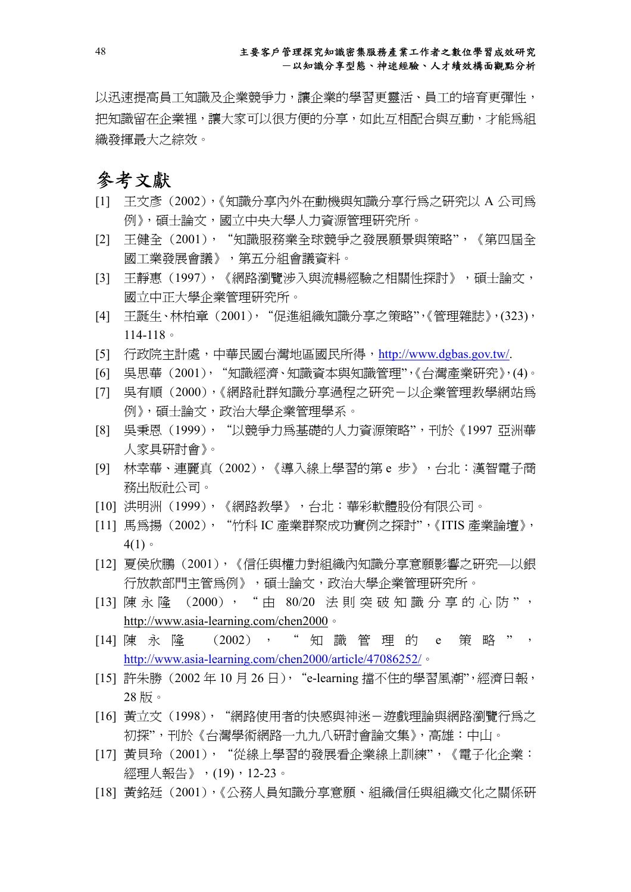以迅速提高員工知識及企業競爭力,讓企業的學習更靈活、員工的培育更彈性, 把知識留在企業裡,讓大家可以很方便的分享,如此互相配合與互動,才能爲組 織發揮最大之綜效。

# 參考文獻

- [1] 王文彥 (2002),《知識分享內外在動機與知識分享行為之研究以 A 公司為 例》,碩士論文,國立中央大學人力資源管理研究所。
- [2] 王健全 (2001), "知識服務業全球競爭之發展願景與策略", 《第四屆全 國工業發展會議》,第五分組會議資料。
- [3] 王靜惠 (1997),《網路瀏覽涉入與流暢經驗之相關性探討》,碩士論文, 國立中正大學企業管理研究所。
- [4] 王誕生、林柏章 (2001),"促進組織知識分享之策略",《管理雜誌》,(323), 114-118。
- [5] 行政院主計處,中華民國台灣地區國民所得,http://www.dgbas.gov.tw/.
- [6] 吳思華 (2001),"知識經濟、知識資本與知識管理",《台灣產業研究》,(4)。
- [7] 吳有順 (2000),《網路社群知識分享過程之研究-以企業管理教學網站為 例》,碩士論文,政治大學企業管理學系。
- [8] 吳秉恩 (1999), "以競爭力為基礎的人力資源策略",刊於《1997 亞洲華 人家具研討會》。
- [9] 林幸華、連麗真 (2002),《導入線上學習的第 e 步》,台北:漢智電子商 務出版社公司。
- [10] 洪明洲 (1999),《網路教學》,台北:華彩軟體股份有限公司。
- [11] 馬爲揚 (2002), "竹科 IC 產業群聚成功實例之探討", 《ITIS 產業論壇》,  $4(1)$
- [12] 夏侯欣鵬 (2001),《信任與權力對組織內知識分享意願影響之研究—以銀 行放款部門主管為例》,碩士論文,政治大學企業管理研究所。
- [13] 陳永 隆 (2000), "由 80/20 法則突破知識分享的心防", http://www.asia-learning.com/chen2000。
- [14] 陳永隆 (2002), "知識管理的 e 策略", http://www.asia-learning.com/chen2000/article/47086252/。
- [15] 許朱勝 (2002年10月26日), "e-learning 擋不住的學習風潮",經濟日報, 28 版。
- [16] 黃立文 (1998), "網路使用者的快感與神迷-遊戲理論與網路瀏覽行為之 初探",刊於《台灣學術網路一九九八研討會論文集》,高雄:中山。
- [17] 黃貝玲 (2001), "從線上學習的發展看企業線上訓練",《電子化企業: 經理人報告》,(19), 12-23。
- [18] 黃銘廷 (2001),《公務人員知識分享意願、組織信任與組織文化之關係研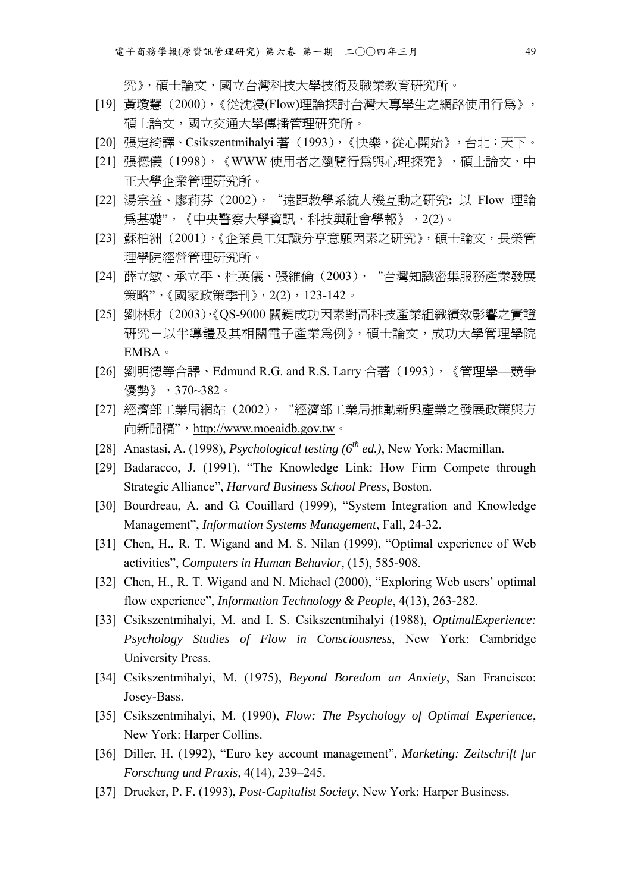究》,碩士論文,國立台灣科技大學技術及職業教育研究所。

- [19] 黃瓊慧 (2000), 《從沈浸(Flow)理論探討台灣大專學生之網路使用行為》, 碩士論文,國立交通大學傳播管理研究所。
- [20] 張定綺譯、Csikszentmihalyi 著 (1993),《快樂,從心開始》,台北:天下。
- [21] 張德儀(1998),《WWW 使用者之瀏覽行為與心理探究》,碩士論文,中 正大學企業管理研究所。
- [22] 湯宗益、廖莉芬 (2002),"遠距教學系統人機互動之研究**:** 以 Flow 理論 為基礎",《中央警察大學資訊、科技與社會學報》,2(2)。
- [23] 蘇柏洲 (2001),《企業員工知識分享意願因素之研究》,碩士論文,長榮管 理學院經營管理研究所。
- [24] 薛立敏、承立平、杜英儀、張維倫 (2003), "台灣知識密集服務產業發展 策略",《國家政策季刊》,2(2),123-142。
- [25] 劉林財 (2003),《QS-9000 關鍵成功因素對高科技產業組織績效影響之實證 研究-以半導體及其相關電子產業為例》,碩士論文,成功大學管理學院 EMBA。
- [26] 劉明德等合譯、Edmund R.G. and R.S. Larry 合著 (1993),《管理學—競爭 優勢》,370~382。
- [27] 經濟部工業局網站 (2002), "經濟部工業局推動新興產業之發展政策與方 向新聞稿", http://www.moeaidb.gov.tw。
- [28] Anastasi, A. (1998), *Psychological testing (6<sup>th</sup> ed.)*, New York: Macmillan.
- [29] Badaracco, J. (1991), "The Knowledge Link: How Firm Compete through Strategic Alliance", *Harvard Business School Press*, Boston.
- [30] Bourdreau, A. and G. Couillard (1999), "System Integration and Knowledge Management", *Information Systems Management*, Fall, 24-32.
- [31] Chen, H., R. T. Wigand and M. S. Nilan (1999), "Optimal experience of Web activities", *Computers in Human Behavior*, (15), 585-908.
- [32] Chen, H., R. T. Wigand and N. Michael (2000), "Exploring Web users' optimal flow experience", *Information Technology & People*, 4(13), 263-282.
- [33] Csikszentmihalyi, M. and I. S. Csikszentmihalyi (1988), *OptimalExperience: Psychology Studies of Flow in Consciousness*, New York: Cambridge University Press.
- [34] Csikszentmihalyi, M. (1975), *Beyond Boredom an Anxiety*, San Francisco: Josey-Bass.
- [35] Csikszentmihalyi, M. (1990), *Flow: The Psychology of Optimal Experience*, New York: Harper Collins.
- [36] Diller, H. (1992), "Euro key account management", *Marketing: Zeitschrift fur Forschung und Praxis*, 4(14), 239–245.
- [37] Drucker, P. F. (1993), *Post-Capitalist Society*, New York: Harper Business.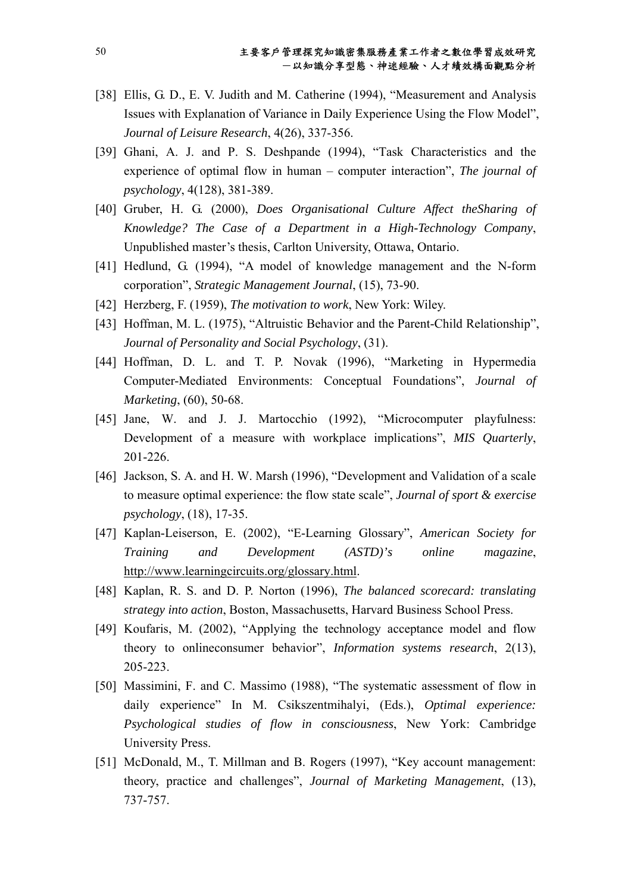- [38] Ellis, G. D., E. V. Judith and M. Catherine (1994), "Measurement and Analysis Issues with Explanation of Variance in Daily Experience Using the Flow Model", *Journal of Leisure Research*, 4(26), 337-356.
- [39] Ghani, A. J. and P. S. Deshpande (1994), "Task Characteristics and the experience of optimal flow in human – computer interaction", *The journal of psychology*, 4(128), 381-389.
- [40] Gruber, H. G. (2000), *Does Organisational Culture Affect theSharing of Knowledge? The Case of a Department in a High-Technology Company*, Unpublished master's thesis, Carlton University, Ottawa, Ontario.
- [41] Hedlund, G. (1994), "A model of knowledge management and the N-form corporation", *Strategic Management Journal*, (15), 73-90.
- [42] Herzberg, F. (1959), *The motivation to work*, New York: Wiley.
- [43] Hoffman, M. L. (1975), "Altruistic Behavior and the Parent-Child Relationship", *Journal of Personality and Social Psychology*, (31).
- [44] Hoffman, D. L. and T. P. Novak (1996), "Marketing in Hypermedia Computer-Mediated Environments: Conceptual Foundations", *Journal of Marketing*, (60), 50-68.
- [45] Jane, W. and J. J. Martocchio (1992), "Microcomputer playfulness: Development of a measure with workplace implications", *MIS Quarterly*, 201-226.
- [46] Jackson, S. A. and H. W. Marsh (1996), "Development and Validation of a scale to measure optimal experience: the flow state scale", *Journal of sport & exercise psychology*, (18), 17-35.
- [47] Kaplan-Leiserson, E. (2002), "E-Learning Glossary", *American Society for Training and Development (ASTD)'s online magazine*, http://www.learningcircuits.org/glossary.html.
- [48] Kaplan, R. S. and D. P. Norton (1996), *The balanced scorecard: translating strategy into action*, Boston, Massachusetts, Harvard Business School Press.
- [49] Koufaris, M. (2002), "Applying the technology acceptance model and flow theory to onlineconsumer behavior", *Information systems research*, 2(13), 205-223.
- [50] Massimini, F. and C. Massimo (1988), "The systematic assessment of flow in daily experience" In M. Csikszentmihalyi, (Eds.), *Optimal experience: Psychological studies of flow in consciousness*, New York: Cambridge University Press.
- [51] McDonald, M., T. Millman and B. Rogers (1997), "Key account management: theory, practice and challenges", *Journal of Marketing Management*, (13), 737-757.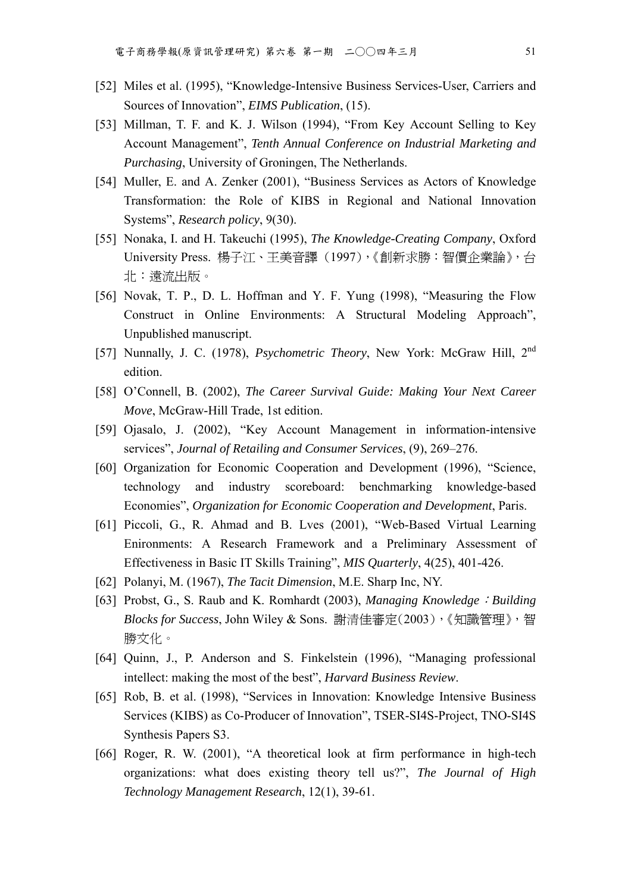- [52] Miles et al. (1995), "Knowledge-Intensive Business Services-User, Carriers and Sources of Innovation", *EIMS Publication*, (15).
- [53] Millman, T. F. and K. J. Wilson (1994), "From Key Account Selling to Key Account Management", *Tenth Annual Conference on Industrial Marketing and Purchasing*, University of Groningen, The Netherlands.
- [54] Muller, E. and A. Zenker (2001), "Business Services as Actors of Knowledge Transformation: the Role of KIBS in Regional and National Innovation Systems", *Research policy*, 9(30).
- [55] Nonaka, I. and H. Takeuchi (1995), *The Knowledge-Creating Company*, Oxford University Press. 楊子江、王美音譯 (1997),《創新求勝:智價企業論》, 台 北:遠流出版。
- [56] Novak, T. P., D. L. Hoffman and Y. F. Yung (1998), "Measuring the Flow Construct in Online Environments: A Structural Modeling Approach", Unpublished manuscript.
- [57] Nunnally, J. C. (1978), *Psychometric Theory*, New York: McGraw Hill, 2nd edition.
- [58] O'Connell, B. (2002), *The Career Survival Guide: Making Your Next Career Move*, McGraw-Hill Trade, 1st edition.
- [59] Ojasalo, J. (2002), "Key Account Management in information-intensive services", *Journal of Retailing and Consumer Services*, (9), 269–276.
- [60] Organization for Economic Cooperation and Development (1996), "Science, technology and industry scoreboard: benchmarking knowledge-based Economies", *Organization for Economic Cooperation and Development*, Paris.
- [61] Piccoli, G., R. Ahmad and B. Lves (2001), "Web-Based Virtual Learning Enironments: A Research Framework and a Preliminary Assessment of Effectiveness in Basic IT Skills Training", *MIS Quarterly*, 4(25), 401-426.
- [62] Polanyi, M. (1967), *The Tacit Dimension*, M.E. Sharp Inc, NY.
- [63] Probst, G., S. Raub and K. Romhardt (2003), *Managing Knowledge*:*Building Blocks for Success*, John Wiley & Sons. 謝清佳審定(2003),《知識管理》,智 勝文化。
- [64] Quinn, J., P. Anderson and S. Finkelstein (1996), "Managing professional intellect: making the most of the best", *Harvard Business Review*.
- [65] Rob, B. et al. (1998), "Services in Innovation: Knowledge Intensive Business Services (KIBS) as Co-Producer of Innovation", TSER-SI4S-Project, TNO-SI4S Synthesis Papers S3.
- [66] Roger, R. W. (2001), "A theoretical look at firm performance in high-tech organizations: what does existing theory tell us?", *The Journal of High Technology Management Research*, 12(1), 39-61.